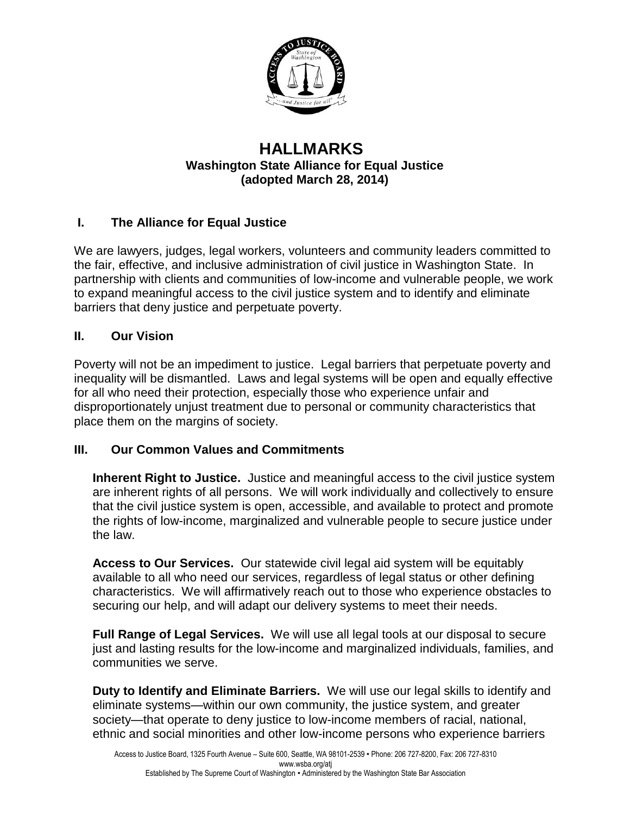

## **HALLMARKS Washington State Alliance for Equal Justice (adopted March 28, 2014)**

## **I. The Alliance for Equal Justice**

We are lawyers, judges, legal workers, volunteers and community leaders committed to the fair, effective, and inclusive administration of civil justice in Washington State. In partnership with clients and communities of low-income and vulnerable people, we work to expand meaningful access to the civil justice system and to identify and eliminate barriers that deny justice and perpetuate poverty.

## **II. Our Vision**

Poverty will not be an impediment to justice. Legal barriers that perpetuate poverty and inequality will be dismantled. Laws and legal systems will be open and equally effective for all who need their protection, especially those who experience unfair and disproportionately unjust treatment due to personal or community characteristics that place them on the margins of society.

## **III. Our Common Values and Commitments**

**Inherent Right to Justice.** Justice and meaningful access to the civil justice system are inherent rights of all persons. We will work individually and collectively to ensure that the civil justice system is open, accessible, and available to protect and promote the rights of low-income, marginalized and vulnerable people to secure justice under the law.

**Access to Our Services.** Our statewide civil legal aid system will be equitably available to all who need our services, regardless of legal status or other defining characteristics. We will affirmatively reach out to those who experience obstacles to securing our help, and will adapt our delivery systems to meet their needs.

**Full Range of Legal Services.** We will use all legal tools at our disposal to secure just and lasting results for the low-income and marginalized individuals, families, and communities we serve.

**Duty to Identify and Eliminate Barriers.** We will use our legal skills to identify and eliminate systems—within our own community, the justice system, and greater society—that operate to deny justice to low-income members of racial, national, ethnic and social minorities and other low-income persons who experience barriers